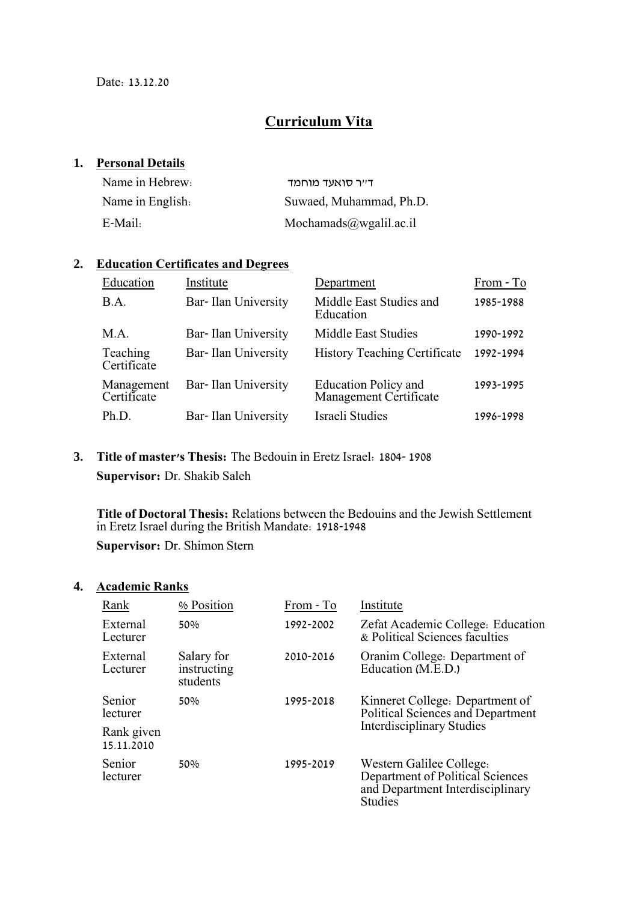## **Curriculum Vita**

### **1. Personal Details**

| Name in Hebrew:  | ד״ר סואעד מוחמד         |
|------------------|-------------------------|
| Name in English: | Suwaed, Muhammad, Ph.D. |
| E-Mail:          | Mochamads@wgalil.ac.il  |

### **2. Education Certificates and Degrees**

| Education                 | Institute                  | Department                                            | From - To |
|---------------------------|----------------------------|-------------------------------------------------------|-----------|
| B.A.                      | <b>Bar-Ilan University</b> | Middle East Studies and<br>Education                  | 1985-1988 |
| M.A.                      | Bar-Ilan University        | <b>Middle East Studies</b>                            | 1990-1992 |
| Teaching<br>Certificate   | Bar-Ilan University        | <b>History Teaching Certificate</b>                   | 1992-1994 |
| Management<br>Certificate | Bar-Ilan University        | <b>Education Policy and</b><br>Management Certificate | 1993-1995 |
| Ph.D.                     | Bar-Ilan University        | Israeli Studies                                       | 1996-1998 |

### **3. Title of master's Thesis:** The Bedouin in Eretz Israel: 1804- 1908 **Supervisor:** Dr. Shakib Saleh

**Title of Doctoral Thesis:** Relations between the Bedouins and the Jewish Settlement in Eretz Israel during the British Mandate: 1918-1948 **Supervisor:** Dr. Shimon Stern

### **4. Academic Ranks**

| Rank                     | % Position                            | From - To | Institute                                                                                                          |
|--------------------------|---------------------------------------|-----------|--------------------------------------------------------------------------------------------------------------------|
| External<br>Lecturer     | 50%                                   | 1992-2002 | Zefat Academic College: Education<br>& Political Sciences faculties                                                |
| External<br>Lecturer     | Salary for<br>instructing<br>students | 2010-2016 | Oranim College: Department of<br>Education (M.E.D.)                                                                |
| Senior<br>lecturer       | 50%                                   | 1995-2018 | Kinneret College: Department of<br>Political Sciences and Department                                               |
| Rank given<br>15.11.2010 |                                       |           | <b>Interdisciplinary Studies</b>                                                                                   |
| Senior<br>lecturer       | 50%                                   | 1995-2019 | Western Galilee College.<br>Department of Political Sciences<br>and Department Interdisciplinary<br><b>Studies</b> |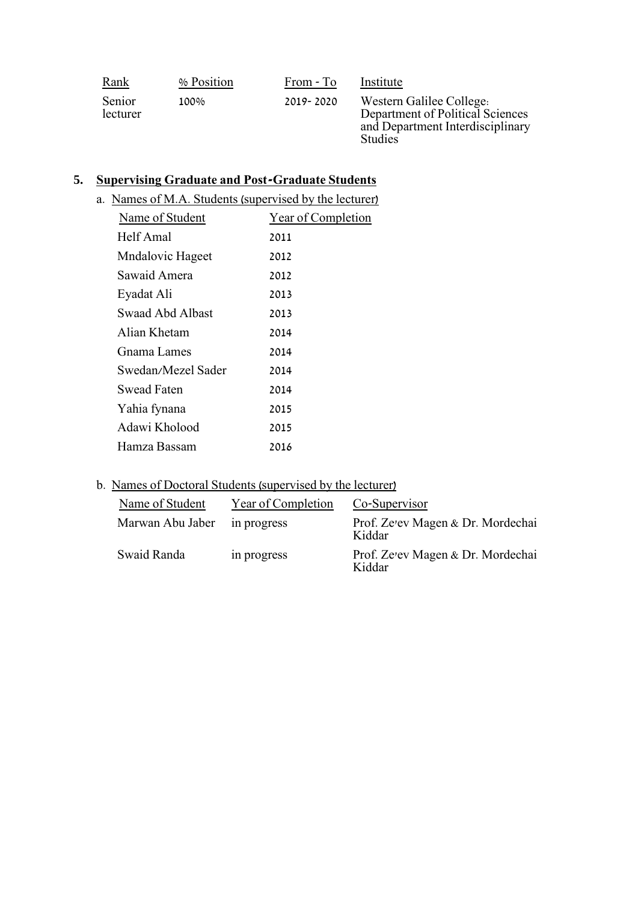| <u>Rank</u>        | % Position | From - To | Institute                                                                                                          |
|--------------------|------------|-----------|--------------------------------------------------------------------------------------------------------------------|
| Senior<br>lecturer | 100%       | 2019-2020 | Western Galilee College.<br>Department of Political Sciences<br>and Department Interdisciplinary<br><b>Studies</b> |

## **5. Supervising Graduate and Post-Graduate Students**

|  |  | a. Names of M.A. Students (supervised by the lecturer) |  |
|--|--|--------------------------------------------------------|--|
|  |  |                                                        |  |

| Name of Student         | Year of Completion |
|-------------------------|--------------------|
| Helf Amal               | 2011               |
| <b>Mndalovic Hageet</b> | 2012               |
| Sawaid Amera            | 2012               |
| Eyadat Ali              | 2013               |
| Swaad Abd Albast        | 2013               |
| Alian Khetam            | 2014               |
| Gnama Lames             | 2014               |
| Swedan/Mezel Sader      | 2014               |
| Swead Faten             | 2014               |
| Yahia fynana            | 2015               |
| Adawi Kholood           | 2015               |
| Hamza Bassam            | 2016               |

### b. Names of Doctoral Students (supervised by the lecturer)

| Name of Student  | Year of Completion | Co-Supervisor                               |
|------------------|--------------------|---------------------------------------------|
| Marwan Abu Jaber | in progress        | Prof. Ze'ev Magen & Dr. Mordechai<br>Kiddar |
| Swaid Randa      | in progress        | Prof. Ze'ev Magen & Dr. Mordechai<br>Kiddar |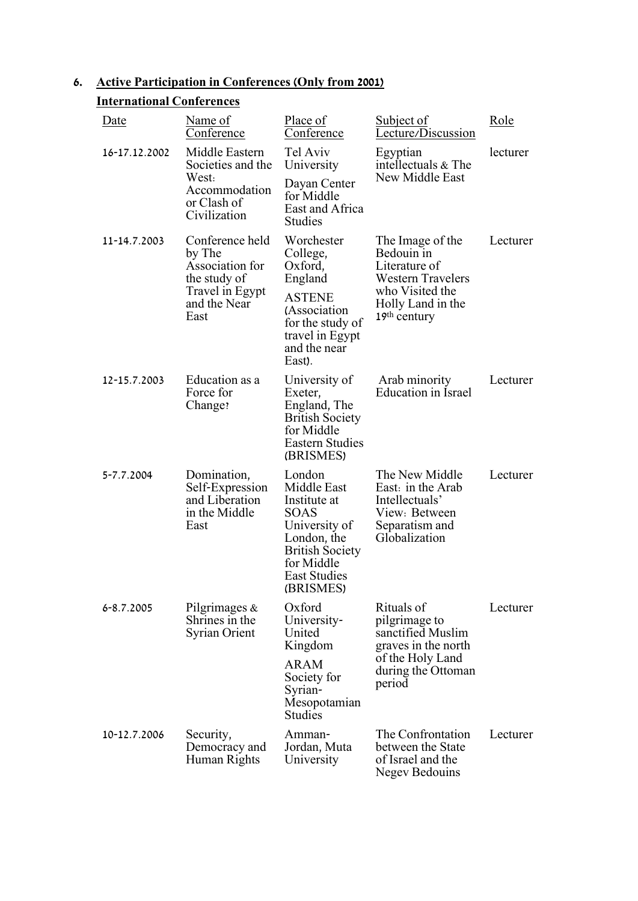# **6. Active Participation in Conferences (Only from 2001)**

### **International Conferences**

| <u>Date</u>    | Name of<br>Conference                                                                                   | Place of<br>Conference                                                                                                                                    | <b>Subject of</b><br>Lecture/Discussion                                                                                               | Role     |
|----------------|---------------------------------------------------------------------------------------------------------|-----------------------------------------------------------------------------------------------------------------------------------------------------------|---------------------------------------------------------------------------------------------------------------------------------------|----------|
| 16-17.12.2002  | Middle Eastern<br>Societies and the<br>West:<br>Accommodation                                           | Tel Aviv<br>University<br>Dayan Center<br>for Middle                                                                                                      | Egyptian<br>intellectuals & The<br>New Middle East                                                                                    | lecturer |
|                | or Clash of<br>Civilization                                                                             | East and Africa<br><b>Studies</b>                                                                                                                         |                                                                                                                                       |          |
| 11-14.7.2003   | Conference held<br>by The<br>Association for<br>the study of<br>Travel in Egypt<br>and the Near<br>East | Worchester<br>College,<br>Oxford,<br>England<br><b>ASTENE</b><br>(Association<br>for the study of<br>travel in Egypt<br>and the near<br>East).            | The Image of the<br>Bedouin in<br>Literature of<br><b>Western Travelers</b><br>who Visited the<br>Holly Land in the<br>$19th$ century | Lecturer |
| 12-15.7.2003   | Education as a<br>Force for<br>Change?                                                                  | University of<br>Exeter,<br>England, The<br><b>British Society</b><br>for Middle<br><b>Eastern Studies</b><br>(BRISMES)                                   | Arab minority<br><b>Education</b> in Israel                                                                                           | Lecturer |
| 5-7.7.2004     | Domination,<br>Self-Expression<br>and Liberation<br>in the Middle<br>East                               | London<br>Middle East<br>Institute at<br>SOAS<br>University of<br>London, the<br><b>British Society</b><br>for Middle<br><b>East Studies</b><br>(BRISMES) | The New Middle<br>East: in the Arab<br>Intellectuals'<br>View: Between<br>Separatism and<br>Globalization                             | Lecturer |
| $6 - 8.7.2005$ | Pilgrimages &<br>Shrines in the<br><b>Syrian Orient</b>                                                 | Oxford<br>University-<br>United<br>Kingdom<br><b>ARAM</b><br>Society for<br>Syrian-<br>Mesopotamian                                                       | Rituals of<br>pilgrimage to<br>sanctified Muslim<br>graves in the north<br>of the Holy Land<br>during the Ottoman<br>period           | Lecturer |
| 10-12.7.2006   | Security,<br>Democracy and<br>Human Rights                                                              | <b>Studies</b><br>Amman-<br>Jordan, Muta<br>University                                                                                                    | The Confrontation<br>between the State<br>of Israel and the<br><b>Negev Bedouins</b>                                                  | Lecturer |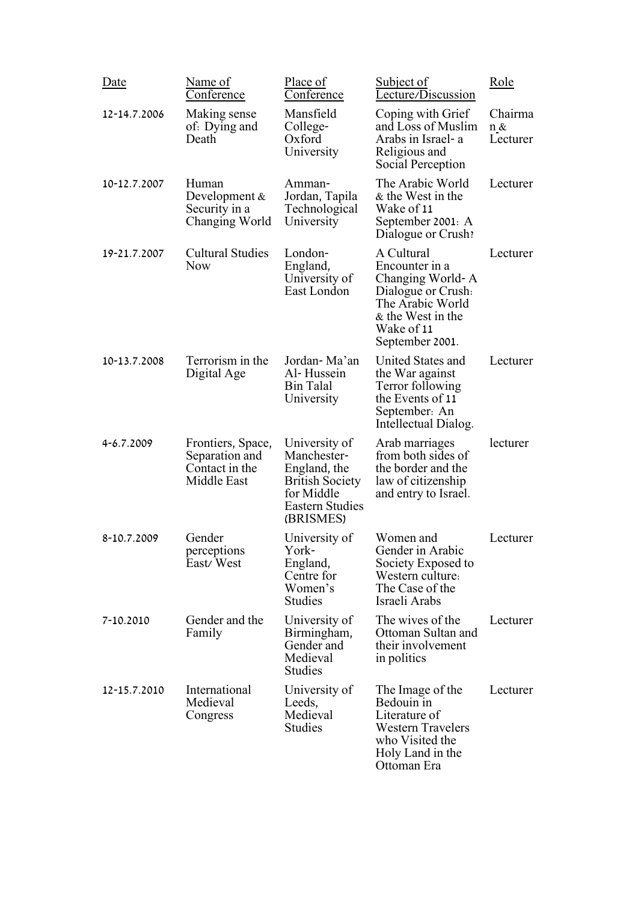| Date         | Name of<br><u>Conference</u>                                         | Place of<br>Conference                                                                                                      | Subject of<br>Lecture/Discussion                                                                                                                 | Role                       |
|--------------|----------------------------------------------------------------------|-----------------------------------------------------------------------------------------------------------------------------|--------------------------------------------------------------------------------------------------------------------------------------------------|----------------------------|
| 12-14.7.2006 | Making sense<br>of: Dying and<br>Death                               | Mansfield<br>College-<br>Oxford<br>University                                                                               | Coping with Grief<br>and Loss of Muslim<br>Arabs in Israel- a<br>Religious and<br>Social Perception                                              | Chairma<br>n &<br>Lecturer |
| 10-12.7.2007 | Human<br>Development &<br>Security in a<br>Changing World            | Amman-<br>Jordan, Tapila<br>Technological<br>University                                                                     | The Arabic World<br>& the West in the<br>Wake of 11<br>September 2001: A<br>Dialogue or Crush?                                                   | Lecturer                   |
| 19-21.7.2007 | <b>Cultural Studies</b><br><b>Now</b>                                | London-<br>England,<br>University of<br>East London                                                                         | A Cultural<br>Encounter in a<br>Changing World-A<br>Dialogue or Crush.<br>The Arabic World<br>& the West in the<br>Wake of 11<br>September 2001. | Lecturer                   |
| 10-13.7.2008 | Terrorism in the<br>Digital Age                                      | Jordan-Ma'an<br>Al-Hussein<br><b>Bin Talal</b><br>University                                                                | <b>United States and</b><br>the War against<br>Terror following<br>the Events of 11<br>September: An<br>Intellectual Dialog.                     | Lecturer                   |
| 4-6.7.2009   | Frontiers, Space,<br>Separation and<br>Contact in the<br>Middle East | University of<br>Manchester-<br>England, the<br><b>British Society</b><br>for Middle<br><b>Eastern Studies</b><br>(BRISMES) | Arab marriages<br>from both sides of<br>the border and the<br>law of citizenship<br>and entry to Israel.                                         | lecturer                   |
| 8-10.7.2009  | Gender<br>perceptions<br>East/West                                   | University of<br>York-<br>England,<br>Centre for<br>Women's<br><b>Studies</b>                                               | Women and<br>Gender in Arabic<br>Society Exposed to<br>Western culture:<br>The Case of the<br>Israeli Arabs                                      | Lecturer                   |
| 7-10.2010    | Gender and the<br>Family                                             | University of<br>Birmingham,<br>Gender and<br>Medieval<br><b>Studies</b>                                                    | The wives of the<br>Ottoman Sultan and<br>their involvement<br>in politics                                                                       | Lecturer                   |
| 12-15.7.2010 | International<br>Medieval<br>Congress                                | University of<br>Leeds,<br>Medieval<br><b>Studies</b>                                                                       | The Image of the<br>Bedouin in<br>Literature of<br><b>Western Travelers</b><br>who Visited the<br>Holy Land in the<br>Ottoman Era                | Lecturer                   |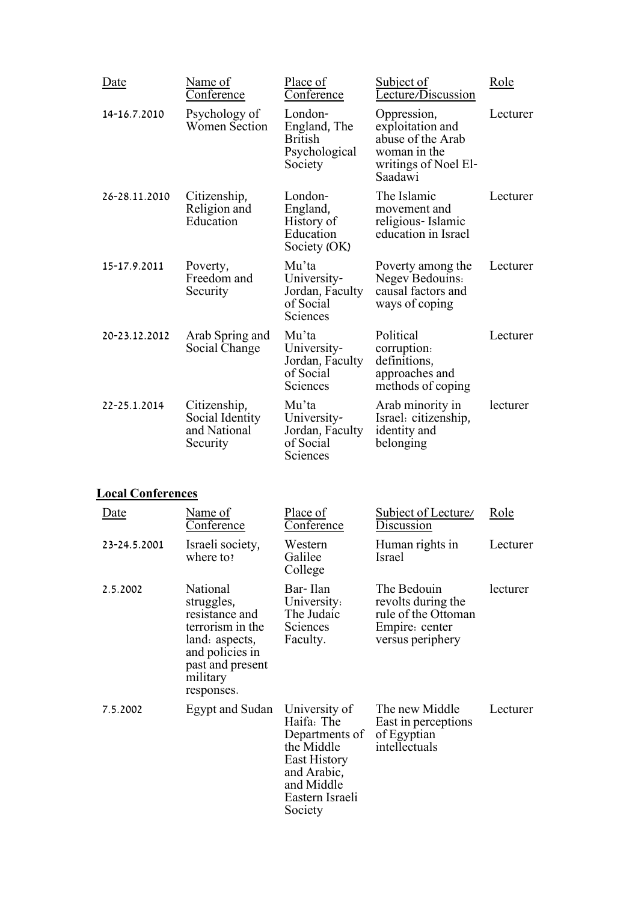| <b>Date</b>   | Name of<br>Conference                                       | Place of<br>Conference                                                | Subject of<br>Lecture/Discussion                                                                        | Role     |
|---------------|-------------------------------------------------------------|-----------------------------------------------------------------------|---------------------------------------------------------------------------------------------------------|----------|
| 14-16.7.2010  | Psychology of<br><b>Women Section</b>                       | London-<br>England, The<br><b>British</b><br>Psychological<br>Society | Oppression,<br>exploitation and<br>abuse of the Arab<br>woman in the<br>writings of Noel El-<br>Saadawi | Lecturer |
| 26-28.11.2010 | Citizenship,<br>Religion and<br>Education                   | London-<br>England,<br>History of<br>Education<br>Society (OK)        | The Islamic<br>movement and<br>religious-Islamic<br>education in Israel                                 | Lecturer |
| 15-17.9.2011  | Poverty,<br>Freedom and<br>Security                         | Mu'ta<br>University-<br>Jordan, Faculty<br>of Social<br>Sciences      | Poverty among the<br><b>Negev Bedouins:</b><br>causal factors and<br>ways of coping                     | Lecturer |
| 20-23.12.2012 | Arab Spring and<br>Social Change                            | Mu'ta<br>University-<br>Jordan, Faculty<br>of Social<br>Sciences      | Political<br>corruption.<br>definitions,<br>approaches and<br>methods of coping                         | Lecturer |
| 22-25.1.2014  | Citizenship,<br>Social Identity<br>and National<br>Security | Mu'ta<br>University-<br>Jordan, Faculty<br>of Social<br>Sciences      | Arab minority in<br>Israel: citizenship,<br>identity and<br>belonging                                   | lecturer |

## **Local Conferences**

| <u>Date</u>  | Name of<br>Conference                                                                                                                           | Place of<br>Conference                                                                                                                        | Subject of Lecture/<br>Discussion                                                              | Role     |
|--------------|-------------------------------------------------------------------------------------------------------------------------------------------------|-----------------------------------------------------------------------------------------------------------------------------------------------|------------------------------------------------------------------------------------------------|----------|
| 23-24.5.2001 | Israeli society,<br>where to?                                                                                                                   | Western<br>Galilee<br>College                                                                                                                 | Human rights in<br>Israel                                                                      | Lecturer |
| 2.5.2002     | National<br>struggles,<br>resistance and<br>terrorism in the<br>land: aspects,<br>and policies in<br>past and present<br>military<br>responses. | Bar-Ilan<br>University:<br>The Judaic<br><b>Sciences</b><br>Faculty.                                                                          | The Bedouin<br>revolts during the<br>rule of the Ottoman<br>Empire: center<br>versus periphery | lecturer |
| 7.5.2002     | Egypt and Sudan                                                                                                                                 | University of<br>Haifa: The<br>Departments of<br>the Middle<br><b>East History</b><br>and Arabic,<br>and Middle<br>Eastern Israeli<br>Society | The new Middle<br>East in perceptions<br>of Egyptian<br>intellectuals                          | Lecturer |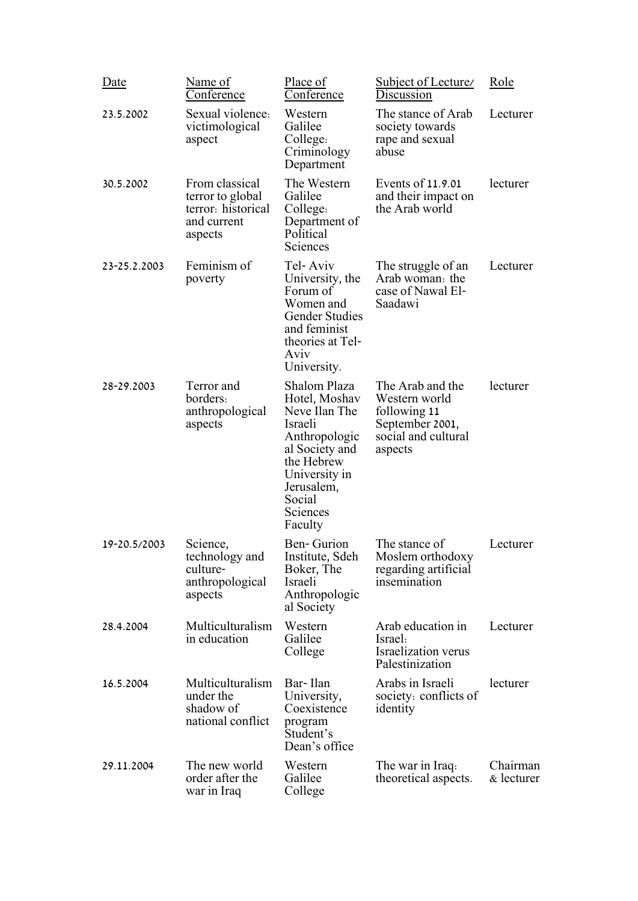| Date         | Name of<br><u>Conference</u>                                                       | Place of<br>Conference                                                                                                                                                     | Subject of Lecture/<br>Discussion                                                                      | Role                   |
|--------------|------------------------------------------------------------------------------------|----------------------------------------------------------------------------------------------------------------------------------------------------------------------------|--------------------------------------------------------------------------------------------------------|------------------------|
| 23.5.2002    | Sexual violence:<br>victimological<br>aspect                                       | Western<br>Galilee<br>College:<br>Criminology<br>Department                                                                                                                | The stance of Arab<br>society towards<br>rape and sexual<br>abuse                                      | Lecturer               |
| 30.5.2002    | From classical<br>terror to global<br>terror: historical<br>and current<br>aspects | The Western<br>Galilee<br>College:<br>Department of<br>Political<br>Sciences                                                                                               | Events of 11.9.01<br>and their impact on<br>the Arab world                                             | lecturer               |
| 23-25.2.2003 | Feminism of<br>poverty                                                             | Tel-Aviv<br>University, the<br>Forum of<br>Women and<br><b>Gender Studies</b><br>and feminist<br>theories at Tel-<br>Aviv<br>University.                                   | The struggle of an<br>Arab woman: the<br>case of Nawal El-<br>Saadawi                                  | Lecturer               |
| 28-29.2003   | Terror and<br>borders:<br>anthropological<br>aspects                               | Shalom Plaza<br>Hotel, Moshav<br>Neve Ilan The<br>Israeli<br>Anthropologic<br>al Society and<br>the Hebrew<br>University in<br>Jerusalem,<br>Social<br>Sciences<br>Faculty | The Arab and the<br>Western world<br>following 11<br>September 2001,<br>social and cultural<br>aspects | lecturer               |
| 19-20.5/2003 | Science,<br>technology and<br>culture-<br>anthropological<br>aspects               | Ben-Gurion<br>Institute, Sdeh<br>Boker, The<br>Israeli<br>Anthropologic<br>al Society                                                                                      | The stance of<br>Moslem orthodoxy<br>regarding artificial<br>insemination                              | Lecturer               |
| 28.4.2004    | Multiculturalism<br>in education                                                   | Western<br>Galilee<br>College                                                                                                                                              | Arab education in<br>Israel:<br><b>Israelization</b> verus<br>Palestinization                          | Lecturer               |
| 16.5.2004    | Multiculturalism<br>under the<br>shadow of<br>national conflict                    | Bar-Ilan<br>University,<br>Coexistence<br>program<br>Student's<br>Dean's office                                                                                            | Arabs in Israeli<br>society: conflicts of<br>identity                                                  | lecturer               |
| 29.11.2004   | The new world<br>order after the<br>war in Iraq                                    | Western<br>Galilee<br>College                                                                                                                                              | The war in Iraq.<br>theoretical aspects.                                                               | Chairman<br>& lecturer |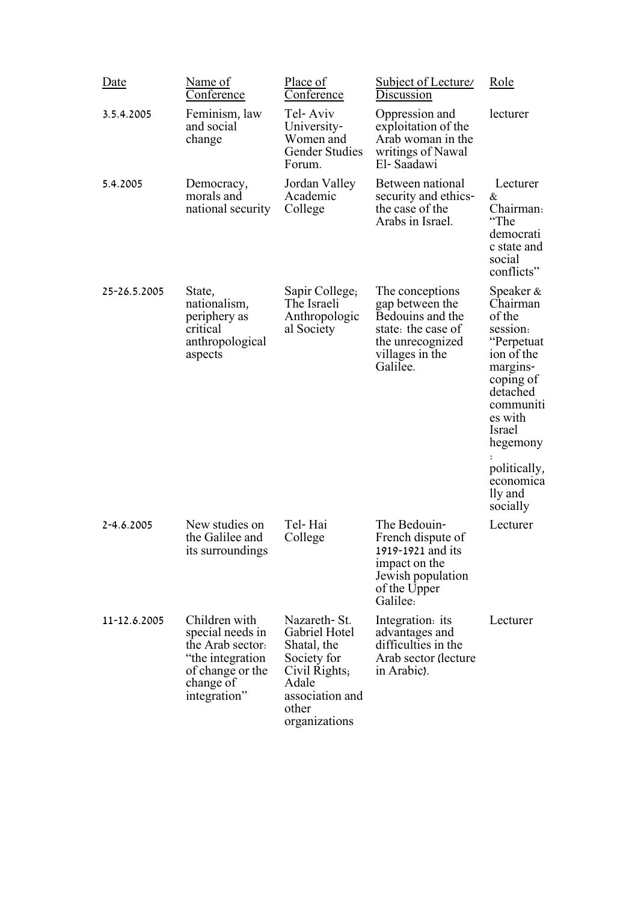| Date         | Name of<br><u>Conference</u>                                                                                                | Place of<br>Conference                                                                                                               | Subject of Lecture<br>Discussion                                                                                                | Role                                                                                                                                                       |
|--------------|-----------------------------------------------------------------------------------------------------------------------------|--------------------------------------------------------------------------------------------------------------------------------------|---------------------------------------------------------------------------------------------------------------------------------|------------------------------------------------------------------------------------------------------------------------------------------------------------|
| 3.5.4.2005   | Feminism, law<br>and social<br>change                                                                                       | Tel-Aviv<br>University-<br>Women and<br><b>Gender Studies</b><br>Forum.                                                              | Oppression and<br>exploitation of the<br>Arab woman in the<br>writings of Nawal<br>El-Saadawi                                   | lecturer                                                                                                                                                   |
| 5.4.2005     | Democracy,<br>morals and<br>national security                                                                               | Jordan Valley<br>Academic<br>College                                                                                                 | Between national<br>security and ethics-<br>the case of the<br>Arabs in Israel.                                                 | Lecturer<br>&<br>Chairman:<br>"The<br>democrati<br>c state and<br>social<br>conflicts"                                                                     |
| 25-26.5.2005 | State,<br>nationalism,<br>periphery as<br>critical<br>anthropological<br>aspects                                            | Sapir College;<br>The Israeli<br>Anthropologic<br>al Society                                                                         | The conceptions<br>gap between the<br>Bedouins and the<br>state: the case of<br>the unrecognized<br>villages in the<br>Galilee. | Speaker &<br>Chairman<br>of the<br>session:<br>"Perpetuat<br>ion of the<br>margins-<br>coping of<br>detached<br>communiti<br>es with<br>Israel<br>hegemony |
|              |                                                                                                                             |                                                                                                                                      |                                                                                                                                 | politically,<br>economica<br>lly and<br>socially                                                                                                           |
| 2-4.6.2005   | New studies on<br>the Galilee and<br>its surroundings                                                                       | Tel-Hai<br>College                                                                                                                   | The Bedouin-<br>French dispute of<br>1919-1921 and its<br>impact on the<br>Jewish population<br>of the Upper<br>Galilee:        | Lecturer                                                                                                                                                   |
| 11-12.6.2005 | Children with<br>special needs in<br>the Arab sector.<br>"the integration"<br>of change or the<br>change of<br>integration" | Nazareth - St.<br>Gabriel Hotel<br>Shatal, the<br>Society for<br>Civil Rights;<br>Adale<br>association and<br>other<br>organizations | Integration: its<br>advantages and<br>difficulties in the<br>Arab sector (lecture<br>in Arabic).                                | Lecturer                                                                                                                                                   |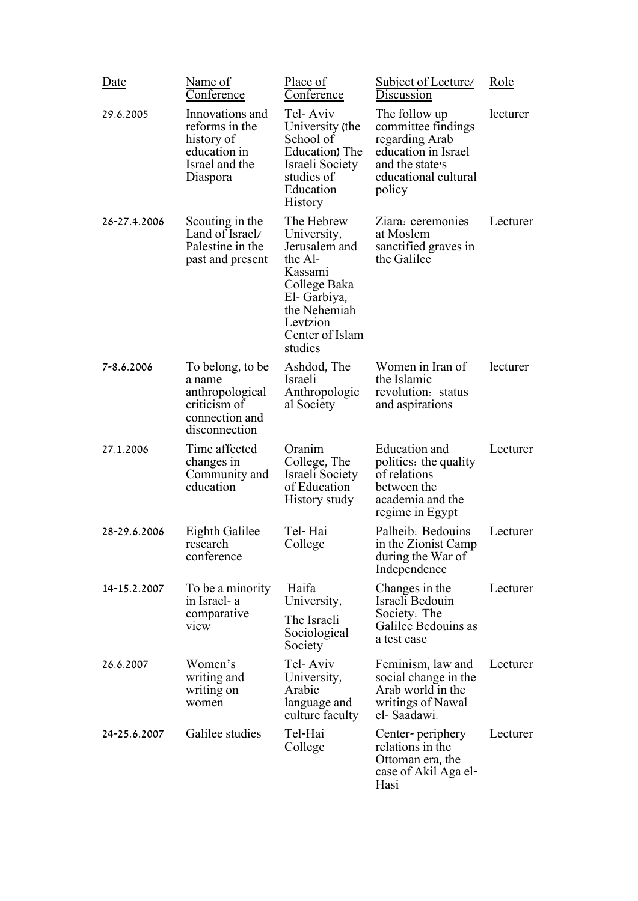| Date           | Name of<br>Conference                                                                            | Place of<br>Conference                                                                                                                                    | Subject of Lecture/<br>Discussion                                                                                                 | Role     |
|----------------|--------------------------------------------------------------------------------------------------|-----------------------------------------------------------------------------------------------------------------------------------------------------------|-----------------------------------------------------------------------------------------------------------------------------------|----------|
| 29.6.2005      | Innovations and<br>reforms in the<br>history of<br>education in<br>Israel and the<br>Diaspora    | Tel-Aviv<br>University (the<br>School of<br>Education) The<br>Israeli Society<br>studies of<br>Education<br><b>History</b>                                | The follow up<br>committee findings<br>regarding Arab<br>education in Israel<br>and the state's<br>educational cultural<br>policy | lecturer |
| 26-27.4.2006   | Scouting in the<br>Land of Israel/<br>Palestine in the<br>past and present                       | The Hebrew<br>University,<br>Jerusalem and<br>the Al-<br>Kassami<br>College Baka<br>El-Garbiya,<br>the Nehemiah<br>Levtzion<br>Center of Islam<br>studies | Ziara: ceremonies<br>at Moslem<br>sanctified graves in<br>the Galilee                                                             | Lecturer |
| $7 - 8.6.2006$ | To belong, to be<br>a name<br>anthropological<br>criticism of<br>connection and<br>disconnection | Ashdod, The<br>Israeli<br>Anthropologic<br>al Society                                                                                                     | Women in Iran of<br>the Islamic<br>revolution: status<br>and aspirations                                                          | lecturer |
| 27.1.2006      | Time affected<br>changes in<br>Community and<br>education                                        | Oranim<br>College, The<br>Israeli Society<br>of Education<br>History study                                                                                | <b>Education</b> and<br>politics: the quality<br>of relations<br>between the<br>academia and the<br>regime in Egypt               | Lecturer |
| 28-29.6.2006   | Eighth Galilee<br>research<br>conference                                                         | Tel-Hai<br>College                                                                                                                                        | Palheib: Bedouins<br>in the Zionist Camp<br>during the War of<br>Independence                                                     | Lecturer |
| 14-15.2.2007   | To be a minority<br>in Israel- a<br>comparative                                                  | Haifa<br>University,                                                                                                                                      | Changes in the<br>Israeli Bedouin<br>Society: The                                                                                 | Lecturer |
|                | view                                                                                             | The Israeli<br>Sociological<br>Society                                                                                                                    | Galilee Bedouins as<br>a test case                                                                                                |          |
| 26.6.2007      | Women's<br>writing and<br>writing on<br>women                                                    | Tel-Aviv<br>University,<br>Arabic<br>language and<br>culture faculty                                                                                      | Feminism, law and<br>social change in the<br>Arab world in the<br>writings of Nawal<br>el-Saadawi.                                | Lecturer |
| 24-25.6.2007   | Galilee studies                                                                                  | Tel-Hai<br>College                                                                                                                                        | Center- periphery<br>relations in the<br>Ottoman era, the<br>case of Akil Aga el-<br>Hasi                                         | Lecturer |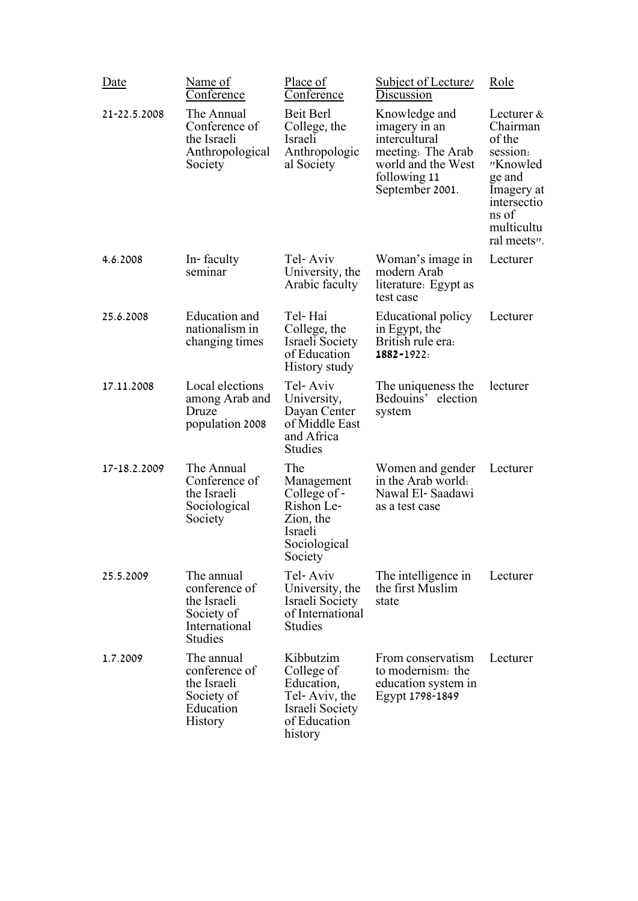| Date         | Name of<br>Conference                                                                       | Place of<br>Conference                                                                               | Subject of Lecture/<br>Discussion                                                                                             | Role                                                                                                                                  |
|--------------|---------------------------------------------------------------------------------------------|------------------------------------------------------------------------------------------------------|-------------------------------------------------------------------------------------------------------------------------------|---------------------------------------------------------------------------------------------------------------------------------------|
| 21-22.5.2008 | The Annual<br>Conference of<br>the Israeli<br>Anthropological<br>Society                    | Beit Berl<br>College, the<br>Israeli<br>Anthropologic<br>al Society                                  | Knowledge and<br>imagery in an<br>intercultural<br>meeting: The Arab<br>world and the West<br>following 11<br>September 2001. | Lecturer &<br>Chairman<br>of the<br>session:<br>"Knowled<br>ge and<br>Imagery at<br>intersectio<br>ns of<br>multicultu<br>ral meets". |
| 4.6.2008     | In-faculty<br>seminar                                                                       | Tel-Aviv<br>University, the<br>Arabic faculty                                                        | Woman's image in<br>modern Arab<br>literature: Egypt as<br>test case                                                          | Lecturer                                                                                                                              |
| 25.6.2008    | Education and<br>nationalism in<br>changing times                                           | Tel-Hai<br>College, the<br>Israeli Society<br>of Education<br>History study                          | Educational policy<br>in Egypt, the<br>British rule era:<br>1882-1922:                                                        | Lecturer                                                                                                                              |
| 17.11.2008   | Local elections<br>among Arab and<br>Druze<br>population 2008                               | Tel-Aviv<br>University,<br>Dayan Center<br>of Middle East<br>and Africa<br><b>Studies</b>            | The uniqueness the<br>Bedouins' election<br>system                                                                            | lecturer                                                                                                                              |
| 17-18.2.2009 | The Annual<br>Conference of<br>the Israeli<br>Sociological<br>Society                       | The<br>Management<br>College of -<br>Rishon Le-<br>Zion, the<br>Israeli<br>Sociological<br>Society   | Women and gender<br>in the Arab world.<br>Nawal El-Saadawi<br>as a test case                                                  | Lecturer                                                                                                                              |
| 25.5.2009    | The annual<br>conference of<br>the Israeli<br>Society of<br>International<br><b>Studies</b> | Tel-Aviv<br>University, the<br>Israeli Society<br>of International<br><b>Studies</b>                 | The intelligence in<br>the first Muslim<br>state                                                                              | Lecturer                                                                                                                              |
| 1.7.2009     | The annual<br>conference of<br>the Israeli<br>Society of<br>Education<br><b>History</b>     | Kibbutzim<br>College of<br>Education,<br>Tel-Aviv, the<br>Israeli Society<br>of Education<br>history | From conservatism<br>to modernism: the<br>education system in<br>Egypt 1798-1849                                              | Lecturer                                                                                                                              |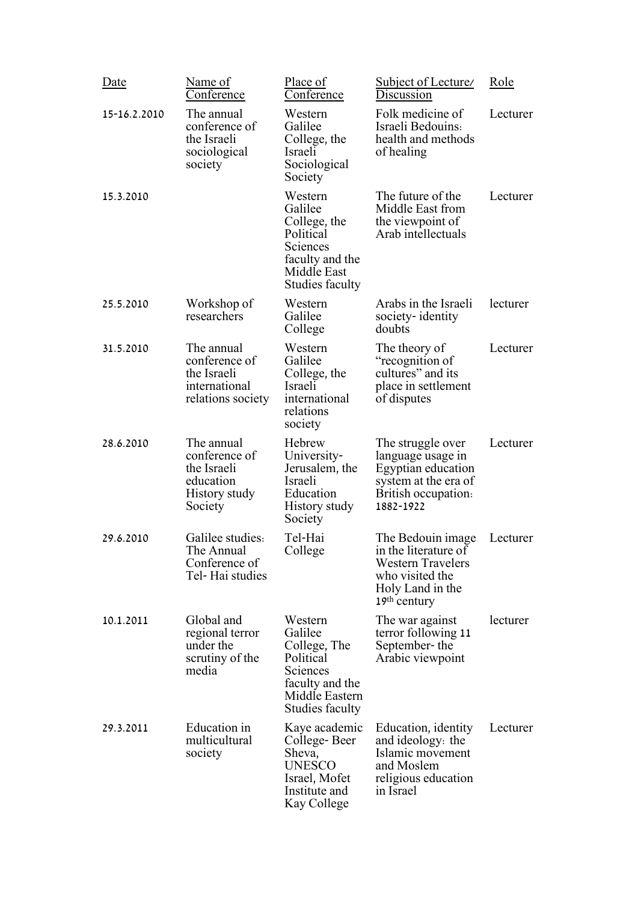| Date         | Name of<br>Conference                                                               | Place of<br>Conference                                                                                                     | <b>Subject of Lecture</b><br>Discussion                                                                                        | Role     |
|--------------|-------------------------------------------------------------------------------------|----------------------------------------------------------------------------------------------------------------------------|--------------------------------------------------------------------------------------------------------------------------------|----------|
| 15-16.2.2010 | The annual<br>conference of<br>the Israeli<br>sociological<br>society               | Western<br>Galilee<br>College, the<br>Israeli<br>Sociological<br>Society                                                   | Folk medicine of<br>Israeli Bedouins:<br>health and methods<br>of healing                                                      | Lecturer |
| 15.3.2010    |                                                                                     | Western<br>Galilee<br>College, the<br>Political<br>Sciences<br>faculty and the<br>Middle East<br><b>Studies faculty</b>    | The future of the<br>Middle East from<br>the viewpoint of<br>Arab intellectuals                                                | Lecturer |
| 25.5.2010    | Workshop of<br>researchers                                                          | Western<br>Galilee<br>College                                                                                              | Arabs in the Israeli<br>society-identity<br>doubts                                                                             | lecturer |
| 31.5.2010    | The annual<br>conference of<br>the Israeli<br>international<br>relations society    | Western<br>Galilee<br>College, the<br>Israeli<br>international<br>relations<br>society                                     | The theory of<br>"recognition of<br>cultures" and its<br>place in settlement<br>of disputes                                    | Lecturer |
| 28.6.2010    | The annual<br>conference of<br>the Israeli<br>education<br>History study<br>Society | Hebrew<br>University-<br>Jerusalem, the<br>Israeli<br>Education<br>History study<br>Society                                | The struggle over<br>language usage in<br>Egyptian education<br>system at the era of<br>British occupation:<br>1882-1922       | Lecturer |
| 29.6.2010    | Galilee studies:<br>The Annual<br>Conference of<br>Tel-Hai studies                  | Tel-Hai<br>College                                                                                                         | The Bedouin image<br>in the literature of<br><b>Western Travelers</b><br>who visited the<br>Holy Land in the<br>$19th$ century | Lecturer |
| 10.1.2011    | Global and<br>regional terror<br>under the<br>scrutiny of the<br>media              | Western<br>Galilee<br>College, The<br>Political<br>Sciences<br>faculty and the<br>Middle Eastern<br><b>Studies faculty</b> | The war against<br>terror following 11<br>September-the<br>Arabic viewpoint                                                    | lecturer |
| 29.3.2011    | Education in<br>multicultural<br>society                                            | Kaye academic<br>College-Beer<br>Sheva,<br><b>UNESCO</b><br>Israel, Mofet<br>Institute and<br>Kay College                  | Education, identity<br>and ideology: the<br>Islamic movement<br>and Moslem<br>religious education<br>in Israel                 | Lecturer |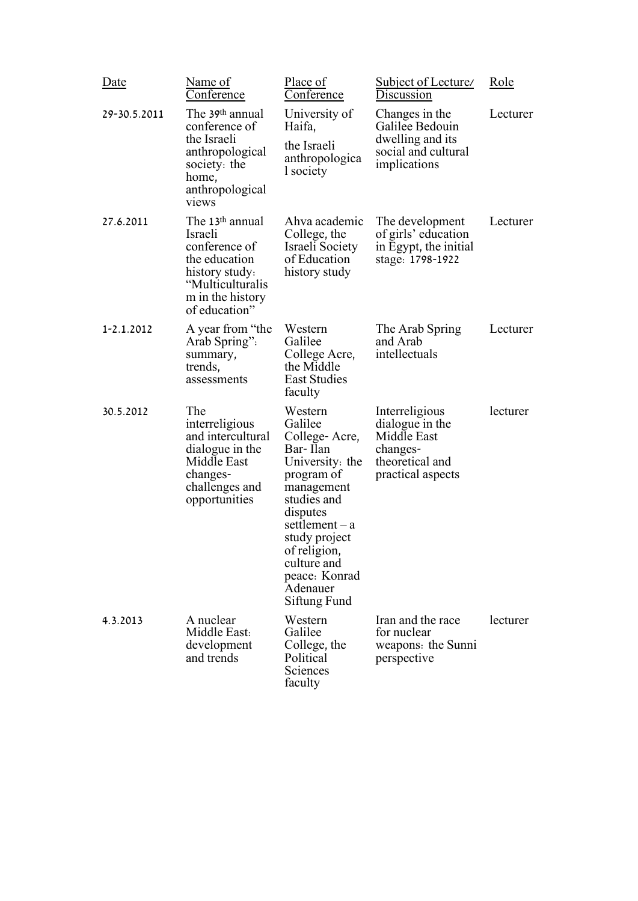| Date         | Name of<br>Conference                                                                                                                               | Place of<br>Conference                                                                                                                                                                                                                    | Subject of Lecture/<br>Discussion                                                                    | Role     |
|--------------|-----------------------------------------------------------------------------------------------------------------------------------------------------|-------------------------------------------------------------------------------------------------------------------------------------------------------------------------------------------------------------------------------------------|------------------------------------------------------------------------------------------------------|----------|
| 29-30.5.2011 | The 39th annual<br>conference of<br>the Israeli<br>anthropological<br>society: the<br>home,<br>anthropological<br>views                             | University of<br>Haifa,<br>the Israeli<br>anthropologica<br>l society                                                                                                                                                                     | Changes in the<br>Galilee Bedouin<br>dwelling and its<br>social and cultural<br>implications         | Lecturer |
| 27.6.2011    | The 13 <sup>th</sup> annual<br>Israeli<br>conference of<br>the education<br>history study.<br>"Multiculturalis<br>m in the history<br>of education" | Ahva academic<br>College, the<br>Israeli Society<br>of Education<br>history study                                                                                                                                                         | The development<br>of girls' education<br>in Egypt, the initial<br>stage: 1798-1922                  | Lecturer |
| 1-2.1.2012   | A year from "the<br>Arab Spring":<br>summary,<br>trends,<br>assessments                                                                             | Western<br>Galilee<br>College Acre,<br>the Middle<br><b>East Studies</b><br>faculty                                                                                                                                                       | The Arab Spring<br>and Arab<br>intellectuals                                                         | Lecturer |
| 30.5.2012    | The<br>interreligious<br>and intercultural<br>dialogue in the<br>Middle East<br>changes-<br>challenges and<br>opportunities                         | Western<br>Galilee<br>College-Acre,<br>Bar-Ilan<br>University: the<br>program of<br>management<br>studies and<br>disputes<br>$setlement - a$<br>study project<br>of religion,<br>culture and<br>peace: Konrad<br>Adenauer<br>Siftung Fund | Interreligious<br>dialogue in the<br>Middle East<br>changes-<br>theoretical and<br>practical aspects | lecturer |
| 4.3.2013     | A nuclear<br>Middle East:<br>development<br>and trends                                                                                              | Western<br>Galilee<br>College, the<br>Political<br>Sciences<br>faculty                                                                                                                                                                    | Iran and the race<br>for nuclear<br>weapons: the Sunni<br>perspective                                | lecturer |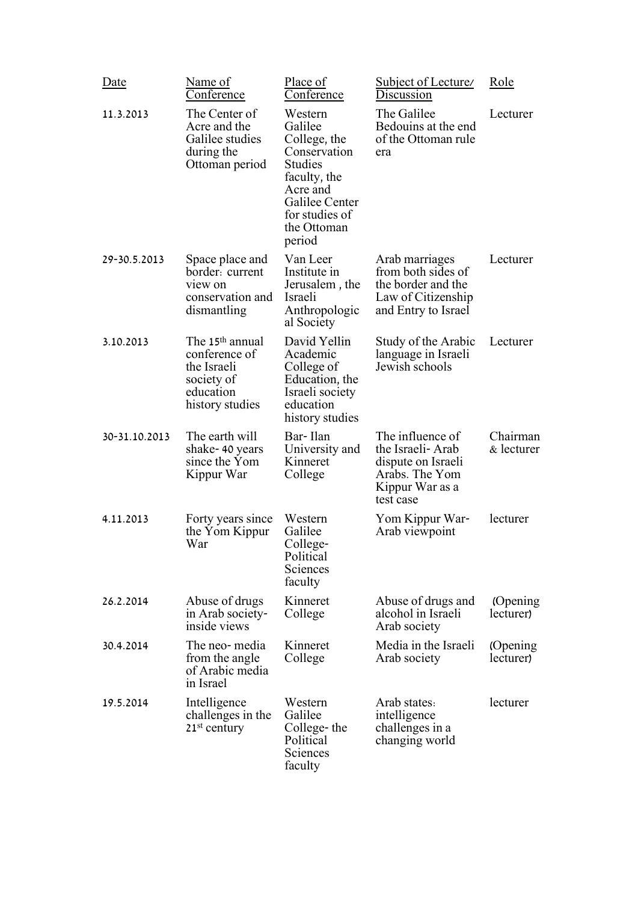| Date          | Name of<br>Conference                                                                                     | Place of<br>Conference                                                                                                                                        | Subject of Lecture/<br>Discussion                                                                            | Role                   |
|---------------|-----------------------------------------------------------------------------------------------------------|---------------------------------------------------------------------------------------------------------------------------------------------------------------|--------------------------------------------------------------------------------------------------------------|------------------------|
| 11.3.2013     | The Center of<br>Acre and the<br>Galilee studies<br>during the<br>Ottoman period                          | Western<br>Galilee<br>College, the<br>Conservation<br><b>Studies</b><br>faculty, the<br>Acre and<br>Galilee Center<br>for studies of<br>the Ottoman<br>period | The Galilee<br>Bedouins at the end<br>of the Ottoman rule<br>era                                             | Lecturer               |
| 29-30.5.2013  | Space place and<br>border: current<br>view on<br>conservation and<br>dismantling                          | Van Leer<br>Institute in<br>Jerusalem, the<br>Israeli<br>Anthropologic<br>al Society                                                                          | Arab marriages<br>from both sides of<br>the border and the<br>Law of Citizenship<br>and Entry to Israel      | Lecturer               |
| 3.10.2013     | The 15 <sup>th</sup> annual<br>conference of<br>the Israeli<br>society of<br>education<br>history studies | David Yellin<br>Academic<br>College of<br>Education, the<br>Israeli society<br>education<br>history studies                                                   | Study of the Arabic<br>language in Israeli<br>Jewish schools                                                 | Lecturer               |
| 30-31.10.2013 | The earth will<br>shake-40 years<br>since the Yom<br>Kippur War                                           | Bar-Ilan<br>University and<br>Kinneret<br>College                                                                                                             | The influence of<br>the Israeli-Arab<br>dispute on Israeli<br>Arabs. The Yom<br>Kippur War as a<br>test case | Chairman<br>& lecturer |
| 4.11.2013     | Forty years since<br>the Yom Kippur<br>War                                                                | Western<br>Galilee<br>College-<br>Political<br>Sciences<br>faculty                                                                                            | Yom Kippur War-<br>Arab viewpoint                                                                            | lecturer               |
| 26.2.2014     | Abuse of drugs<br>in Arab society-<br>inside views                                                        | Kinneret<br>College                                                                                                                                           | Abuse of drugs and<br>alcohol in Israeli<br>Arab society                                                     | (Opening)<br>lecturer) |
| 30.4.2014     | The neo-media<br>from the angle<br>of Arabic media<br>in Israel                                           | Kinneret<br>College                                                                                                                                           | Media in the Israeli<br>Arab society                                                                         | (Opening)<br>lecturer) |
| 19.5.2014     | Intelligence<br>challenges in the<br>$21st$ century                                                       | Western<br>Galilee<br>College-the<br>Political<br>Sciences<br>faculty                                                                                         | Arab states:<br>intelligence<br>challenges in a<br>changing world                                            | lecturer               |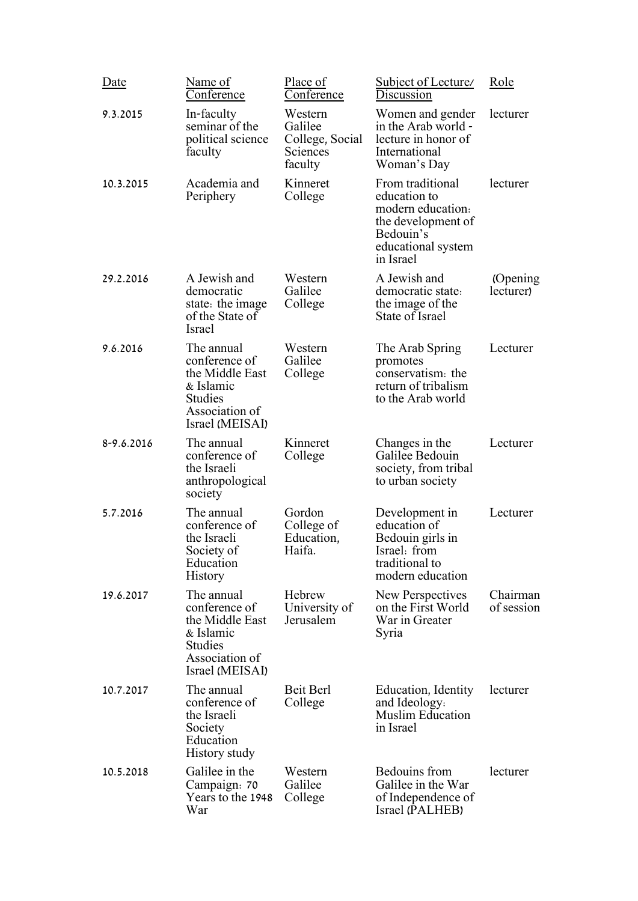| Date       | Name of<br><u>Conference</u>                                                                                       | Place of<br>Conference                                       | Subject of Lecture<br>Discussion                                                                                            | Role                   |
|------------|--------------------------------------------------------------------------------------------------------------------|--------------------------------------------------------------|-----------------------------------------------------------------------------------------------------------------------------|------------------------|
| 9.3.2015   | In-faculty<br>seminar of the<br>political science<br>faculty                                                       | Western<br>Galilee<br>College, Social<br>Sciences<br>faculty | Women and gender<br>in the Arab world -<br>lecture in honor of<br>International<br>Woman's Day                              | lecturer               |
| 10.3.2015  | Academia and<br>Periphery                                                                                          | Kinneret<br>College                                          | From traditional<br>education to<br>modern education.<br>the development of<br>Bedouin's<br>educational system<br>in Israel | lecturer               |
| 29.2.2016  | A Jewish and<br>democratic<br>state: the image<br>of the State of<br>Israel                                        | Western<br>Galilee<br>College                                | A Jewish and<br>democratic state:<br>the image of the<br>State of Israel                                                    | (Opening)<br>lecturer) |
| 9.6.2016   | The annual<br>conference of<br>the Middle East<br>& Islamic<br><b>Studies</b><br>Association of<br>Israel (MEISAI) | Western<br>Galilee<br>College                                | The Arab Spring<br>promotes<br>conservatism: the<br>return of tribalism<br>to the Arab world                                | Lecturer               |
| 8-9.6.2016 | The annual<br>conference of<br>the Israeli<br>anthropological<br>society                                           | Kinneret<br>College                                          | Changes in the<br>Galilee Bedouin<br>society, from tribal<br>to urban society                                               | Lecturer               |
| 5.7.2016   | The annual<br>conference of<br>the Israeli<br>Society of<br>Education<br><b>History</b>                            | Gordon<br>College of<br>Education,<br>Haifa.                 | Development in<br>education of<br>Bedouin girls in<br>Israel: from<br>traditional to<br>modern education                    | Lecturer               |
| 19.6.2017  | The annual<br>conference of<br>the Middle East<br>& Islamic<br><b>Studies</b><br>Association of<br>Israel (MEISAI) | Hebrew<br>University of<br>Jerusalem                         | New Perspectives<br>on the First World<br>War in Greater<br>Syria                                                           | Chairman<br>of session |
| 10.7.2017  | The annual<br>conference of<br>the Israeli<br>Society<br>Education<br>History study                                | <b>Beit Berl</b><br>College                                  | Education, Identity<br>and Ideology:<br><b>Muslim Education</b><br>in Israel                                                | lecturer               |
| 10.5.2018  | Galilee in the<br>Campaign: 70<br>Years to the 1948<br>War                                                         | Western<br>Galilee<br>College                                | <b>Bedouins</b> from<br>Galilee in the War<br>of Independence of<br>Israel (PALHEB)                                         | lecturer               |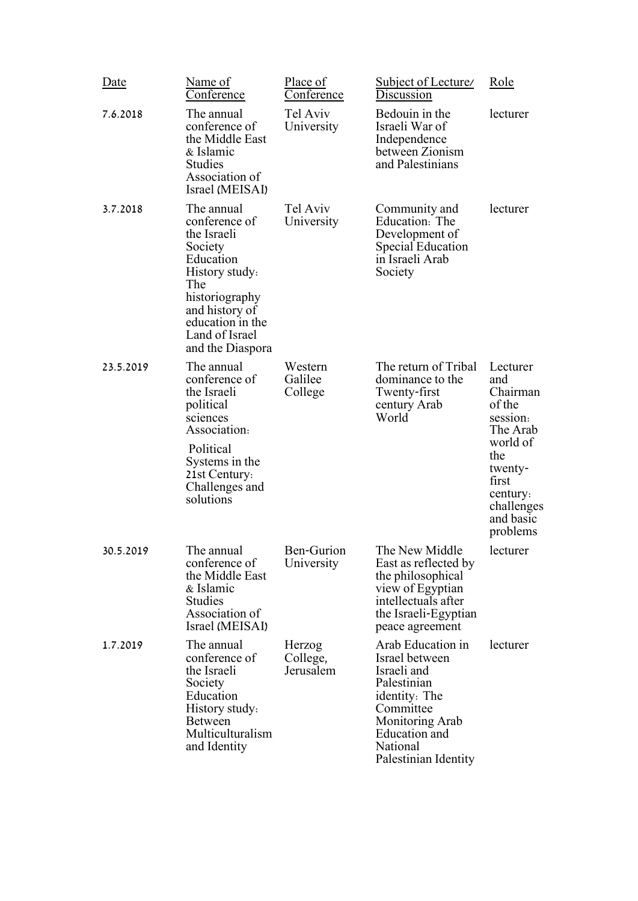| Date      | Name of<br>Conference                                                                                                                                                                     | Place of<br>Conference          | Subject of Lecture/<br>Discussion                                                                                                                                       | Role                                                                                                                                                    |
|-----------|-------------------------------------------------------------------------------------------------------------------------------------------------------------------------------------------|---------------------------------|-------------------------------------------------------------------------------------------------------------------------------------------------------------------------|---------------------------------------------------------------------------------------------------------------------------------------------------------|
| 7.6.2018  | The annual<br>conference of<br>the Middle East<br>& Islamic<br><b>Studies</b><br>Association of<br>Israel (MEISAI)                                                                        | Tel Aviv<br>University          | Bedouin in the<br>Israeli War of<br>Independence<br>between Zionism<br>and Palestinians                                                                                 | lecturer                                                                                                                                                |
| 3.7.2018  | The annual<br>conference of<br>the Israeli<br>Society<br>Education<br>History study:<br>The<br>historiography<br>and history of<br>education in the<br>Land of Israel<br>and the Diaspora | Tel Aviv<br>University          | Community and<br>Education: The<br>Development of<br><b>Special Education</b><br>in Israeli Arab<br>Society                                                             | lecturer                                                                                                                                                |
| 23.5.2019 | The annual<br>conference of<br>the Israeli<br>political<br>sciences<br>Association:<br>Political<br>Systems in the<br>21st Century:<br>Challenges and<br>solutions                        | Western<br>Galilee<br>College   | The return of Tribal<br>dominance to the<br>Twenty-first<br>century Arab<br>World                                                                                       | Lecturer<br>and<br>Chairman<br>of the<br>session:<br>The Arab<br>world of<br>the<br>twenty-<br>first<br>century:<br>challenges<br>and basic<br>problems |
| 30.5.2019 | The annual<br>conference of<br>the Middle East<br>& Islamic<br><b>Studies</b><br>Association of<br>Israel (MEISAI)                                                                        | <b>Ben-Gurion</b><br>University | The New Middle<br>East as reflected by<br>the philosophical<br>view of Egyptian<br>intellectuals after<br>the Israeli-Egyptian<br>peace agreement                       | lecturer                                                                                                                                                |
| 1.7.2019  | The annual<br>conference of<br>the Israeli<br>Society<br>Education<br>History study:<br><b>Between</b><br>Multiculturalism<br>and Identity                                                | Herzog<br>College,<br>Jerusalem | Arab Education in<br>Israel between<br>Israeli and<br>Palestinian<br>identity: The<br>Committee<br>Monitoring Arab<br>Education and<br>National<br>Palestinian Identity | lecturer                                                                                                                                                |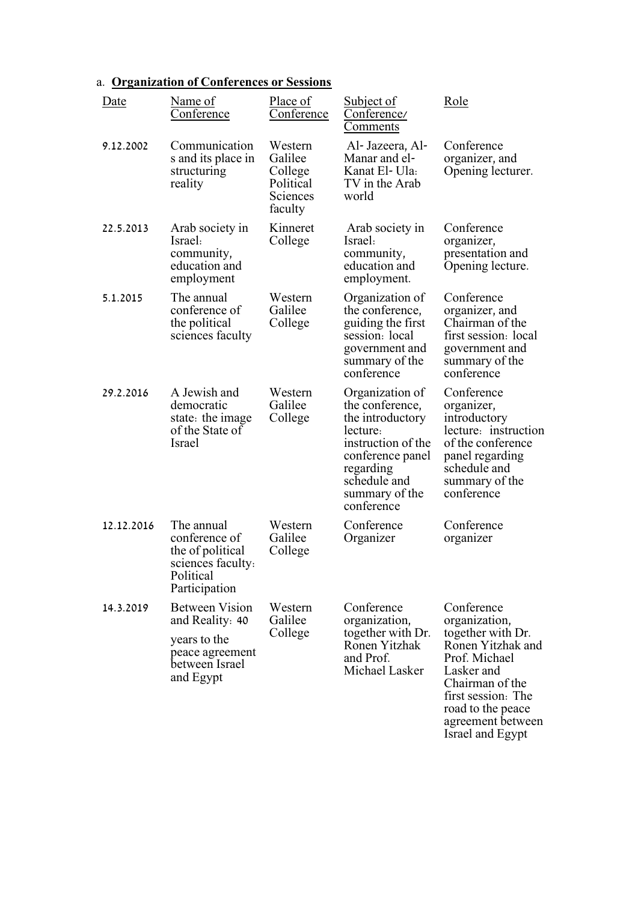## a. **Organization of Conferences or Sessions**

| Date       | Name of<br>Conference                                                                                      | Place of<br>Conference                                            | <b>Subject of</b><br>Conference/<br><u>Comments</u>                                                                                                                       | Role                                                                                                                                                                                    |
|------------|------------------------------------------------------------------------------------------------------------|-------------------------------------------------------------------|---------------------------------------------------------------------------------------------------------------------------------------------------------------------------|-----------------------------------------------------------------------------------------------------------------------------------------------------------------------------------------|
| 9.12.2002  | Communication<br>s and its place in<br>structuring<br>reality                                              | Western<br>Galilee<br>College<br>Political<br>Sciences<br>faculty | Al- Jazeera, Al-<br>Manar and el-<br>Kanat El- Ula:<br>TV in the Arab<br>world                                                                                            | Conference<br>organizer, and<br>Opening lecturer.                                                                                                                                       |
| 22.5.2013  | Arab society in<br>Israel:<br>community,<br>education and<br>employment                                    | Kinneret<br>College                                               | Arab society in<br>Israel:<br>community,<br>education and<br>employment.                                                                                                  | Conference<br>organizer,<br>presentation and<br>Opening lecture.                                                                                                                        |
| 5.1.2015   | The annual<br>conference of<br>the political<br>sciences faculty                                           | Western<br>Galilee<br>College                                     | Organization of<br>the conference,<br>guiding the first<br>session: local<br>government and<br>summary of the<br>conference                                               | Conference<br>organizer, and<br>Chairman of the<br>first session: local<br>government and<br>summary of the<br>conference                                                               |
| 29.2.2016  | A Jewish and<br>democratic<br>state: the image<br>of the State of<br><b>Israel</b>                         | Western<br>Galilee<br>College                                     | Organization of<br>the conference,<br>the introductory<br>lecture:<br>instruction of the<br>conference panel<br>regarding<br>schedule and<br>summary of the<br>conference | Conference<br>organizer,<br>introductory<br>lecture: instruction<br>of the conference<br>panel regarding<br>schedule and<br>summary of the<br>conference                                |
| 12.12.2016 | The annual<br>conference of<br>the of political<br>sciences faculty.<br>Political<br>Participation         | Western<br>Galilee<br>College                                     | Conference<br>Organizer                                                                                                                                                   | Conference<br>organizer                                                                                                                                                                 |
| 14.3.2019  | <b>Between Vision</b><br>and Reality: 40<br>years to the<br>peace agreement<br>between Israel<br>and Egypt | Western<br>Galilee<br>College                                     | Conference<br>organization,<br>together with Dr.<br>Ronen Yitzhak<br>and Prof.<br>Michael Lasker                                                                          | Conference<br>organization,<br>together with Dr.<br>Ronen Yitzhak and<br>Prof. Michael<br>Lasker and<br>Chairman of the<br>first session: The<br>road to the peace<br>agreement between |

Israel and Egypt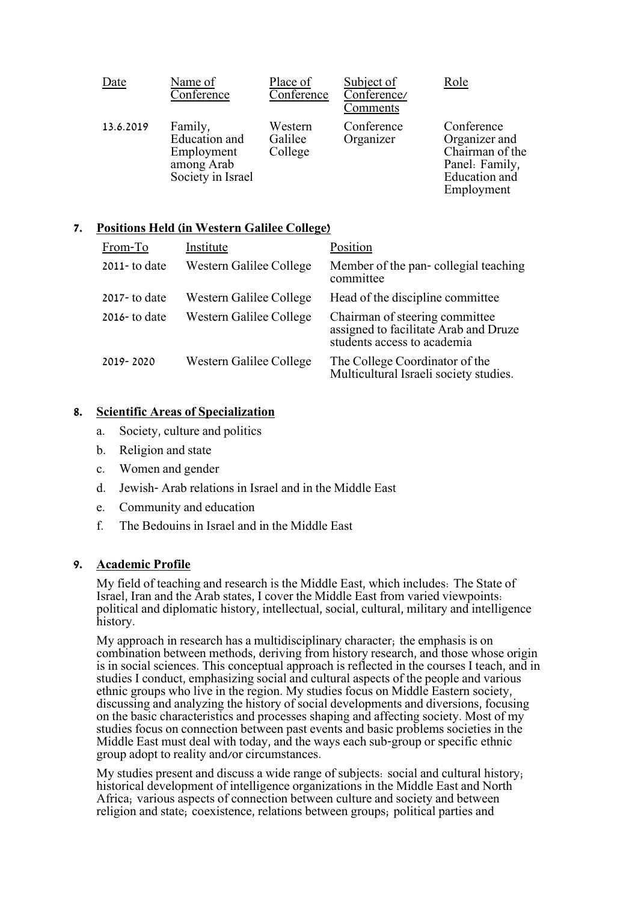| Date      | Name of<br>Conference                                                     | Place of<br>Conference        | Subject of<br>Conference/<br>Comments | Role                                                                                                   |
|-----------|---------------------------------------------------------------------------|-------------------------------|---------------------------------------|--------------------------------------------------------------------------------------------------------|
| 13.6.2019 | Family,<br>Education and<br>Employment<br>among Arab<br>Society in Israel | Western<br>Galilee<br>College | Conference<br>Organizer               | Conference<br>Organizer and<br>Chairman of the<br>Panel: Family,<br><b>Education</b> and<br>Employment |

### **7. Positions Held (in Western Galilee College)**

| From-To          | Institute               | Position                                                                                               |
|------------------|-------------------------|--------------------------------------------------------------------------------------------------------|
| $2011 -$ to date | Western Galilee College | Member of the pan-collegial teaching<br>committee                                                      |
| $2017 -$ to date | Western Galilee College | Head of the discipline committee                                                                       |
| $2016 -$ to date | Western Galilee College | Chairman of steering committee<br>assigned to facilitate Arab and Druze<br>students access to academia |
| 2019-2020        | Western Galilee College | The College Coordinator of the<br>Multicultural Israeli society studies.                               |

### **8. Scientific Areas of Specialization**

- a. Society, culture and politics
- b. Religion and state
- c. Women and gender
- d. Jewish- Arab relations in Israel and in the Middle East
- e. Community and education
- f. The Bedouins in Israel and in the Middle East

### **9. Academic Profile**

My field of teaching and research is the Middle East, which includes: The State of Israel, Iran and the Arab states, I cover the Middle East from varied viewpoints: political and diplomatic history, intellectual, social, cultural, military and intelligence history.

My approach in research has a multidisciplinary character; the emphasis is on combination between methods, deriving from history research, and those whose origin is in social sciences. This conceptual approach is reflected in the courses I teach, and in studies I conduct, emphasizing social and cultural aspects of the people and various ethnic groups who live in the region. My studies focus on Middle Eastern society, discussing and analyzing the history of social developments and diversions, focusing on the basic characteristics and processes shaping and affecting society. Most of my studies focus on connection between past events and basic problems societies in the Middle East must deal with today, and the ways each sub-group or specific ethnic group adopt to reality and/or circumstances.

My studies present and discuss a wide range of subjects: social and cultural history; historical development of intelligence organizations in the Middle East and North Africa; various aspects of connection between culture and society and between religion and state; coexistence, relations between groups; political parties and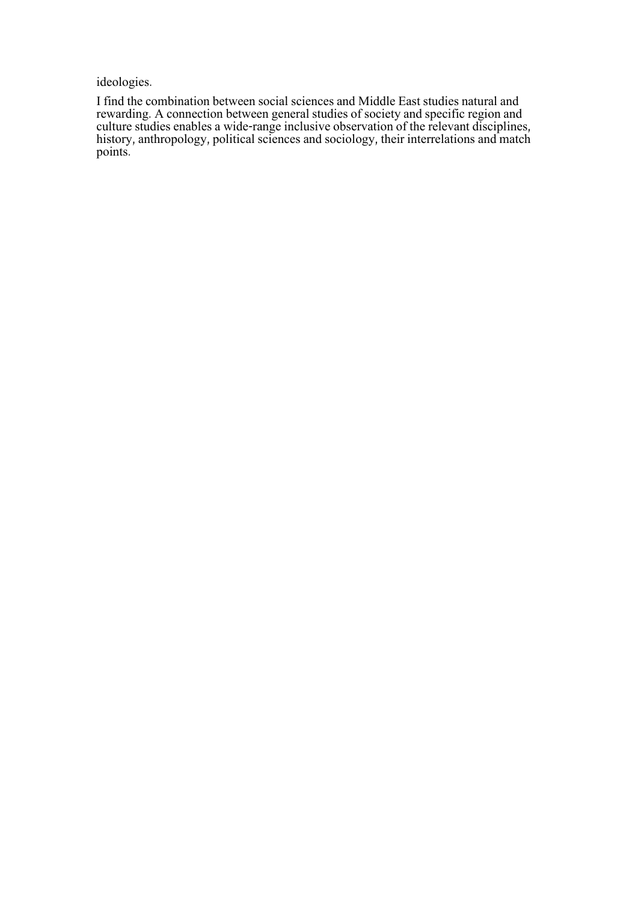ideologies.

I find the combination between social sciences and Middle East studies natural and rewarding. A connection between general studies of society and specific region and culture studies enables a wide-range inclusive observation of the relevant disciplines, history, anthropology, political sciences and sociology, their interrelations and match points.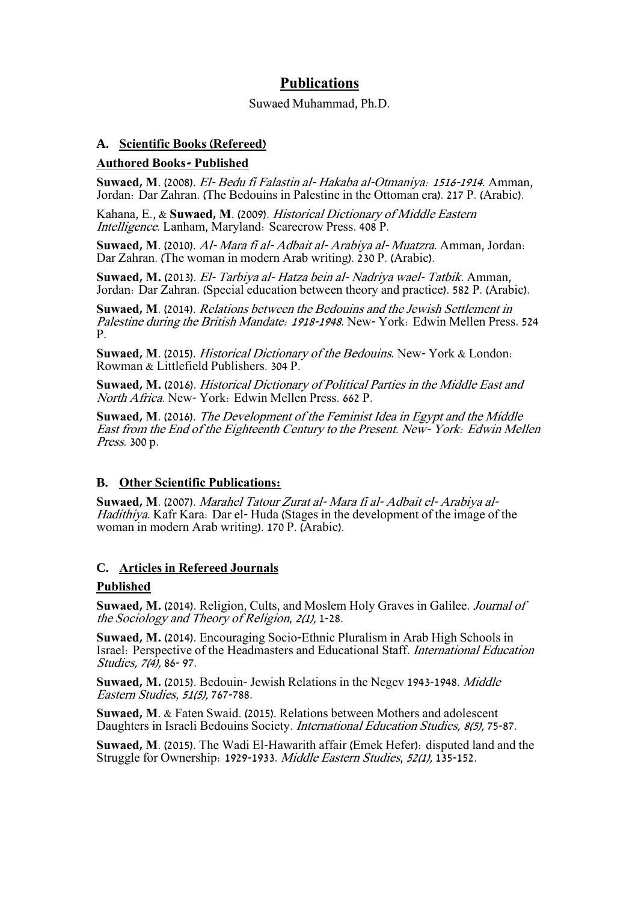### **Publications**

#### Suwaed Muhammad, Ph.D.

### **A. Scientific Books (Refereed)**

### **Authored Books- Published**

**Suwaed, M**. (2008). El- Bedu fi Falastin al- Hakaba al-Otmaniya: 1516-1914. Amman, Jordan: Dar Zahran. (The Bedouins in Palestine in the Ottoman era). 217 P. (Arabic).

Kahana, E., & **Suwaed, M**. (2009). Historical Dictionary of Middle Eastern Intelligence. Lanham, Maryland: Scarecrow Press. 408 P.

**Suwaed, M**. (2010). Al- Mara fi al- Adbait al- Arabiya al- Muatzra. Amman, Jordan: Dar Zahran. (The woman in modern Arab writing). 230 P. (Arabic).

**Suwaed, M.** (2013). El- Tarbiya al- Hatza bein al- Nadriya wael- Tatbik. Amman, Jordan: Dar Zahran. (Special education between theory and practice). 582 P. (Arabic).

**Suwaed, M**. (2014). Relations between the Bedouins and the Jewish Settlement in Palestine during the British Mandate: 1918-1948. New- York: Edwin Mellen Press. 524 P.

**Suwaed, M**. (2015). Historical Dictionary of the Bedouins. New- York & London: Rowman & Littlefield Publishers. 304 P.

**Suwaed, M.** (2016). Historical Dictionary of Political Parties in the Middle East and North Africa. New- York: Edwin Mellen Press. 662 P.

**Suwaed, M**. (2016). The Development of the Feminist Idea in Egypt and the Middle East from the End of the Eighteenth Century to the Present. New- York: Edwin Mellen Press. 300 p.

#### **B. Other Scientific Publications:**

**Suwaed, M**. (2007). Marahel Tatour Zurat al- Mara fi al- Adbait el- Arabiya al-Hadithiya. Kafr Kara: Dar el- Huda (Stages in the development of the image of the woman in modern Arab writing). 170 P. (Arabic).

### **C. Articles in Refereed Journals**

#### **Published**

**Suwaed, M.** (2014). Religion, Cults, and Moslem Holy Graves in Galilee. Journal of the Sociology and Theory of Religion, 2(1), 1-28.

**Suwaed, M.** (2014). Encouraging Socio-Ethnic Pluralism in Arab High Schools in Israel: Perspective of the Headmasters and Educational Staff. International Education Studies, 7(4), 86-97.

**Suwaed, M.** (2015). Bedouin- Jewish Relations in the Negev 1943-1948. Middle Eastern Studies, 51(5), 767-788.

**Suwaed, M**. & Faten Swaid. (2015). Relations between Mothers and adolescent Daughters in Israeli Bedouins Society. International Education Studies, 8(5), 75-87.

**Suwaed, M**. (2015). The Wadi El-Hawarith affair (Emek Hefer): disputed land and the Struggle for Ownership: 1929-1933. Middle Eastern Studies, 52(1), 135-152.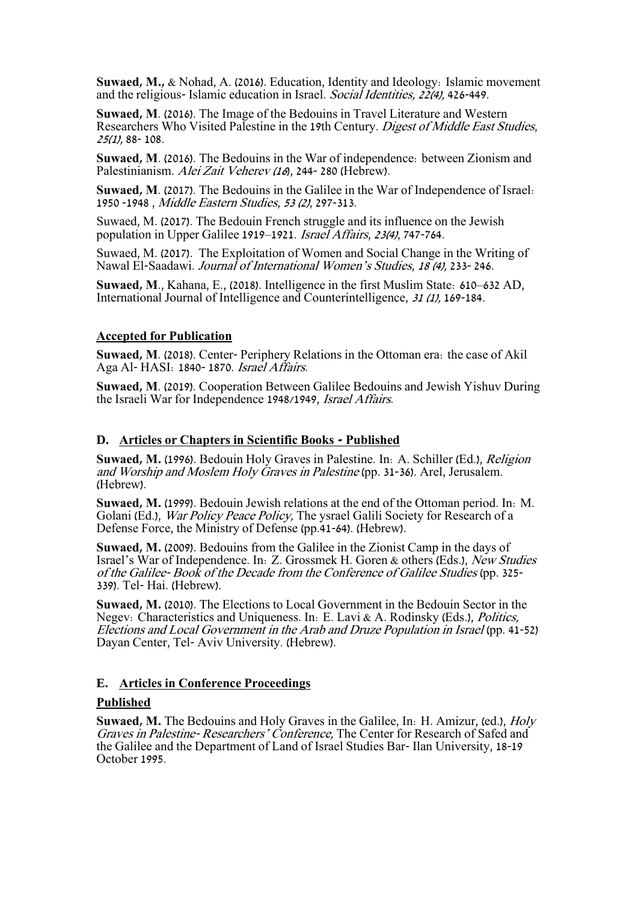**Suwaed, M.,** & Nohad, A. (2016). Education, Identity and Ideology: Islamic movement and the religious- Islamic education in Israel. Social Identities, 22(4), 426-449.

**Suwaed, M**. (2016). The Image of the Bedouins in Travel Literature and Western Researchers Who Visited Palestine in the 19th Century. Digest of Middle East Studies, 25(1), 88- 108 .

**Suwaed, M**. (2016). The Bedouins in the War of independence: between Zionism and Palestinianism. Alei Zait Veherev (16), 244-280 (Hebrew).

**Suwaed, M**. (2017). The Bedouins in the Galilee in the War of Independence of Israel: 1950 -1948 , Middle Eastern Studies, 53 (2), 297-313.

Suwaed, M. (2017). The Bedouin French struggle and its influence on the Jewish population in Upper Galilee 1919–1921. Israel Affairs, 23(4), 747-764.

Suwaed, M. (2017). The Exploitation of Women and Social Change in the Writing of Nawal El-Saadawi. Journal of International Women's Studies, 18 (4), 233- 246.

**Suwaed, M**., Kahana, E., (2018). Intelligence in the first Muslim State: 610–632 AD, International Journal of Intelligence and Counterintelligence, 31 (1), 169-184.

#### **Accepted for Publication**

**Suwaed, M**. (2018). Center- Periphery Relations in the Ottoman era: the case of Akil Aga Al- HASI: 1840- 1870. Israel Affairs.

**Suwaed, M**. (2019). Cooperation Between Galilee Bedouins and Jewish Yishuv During the Israeli War for Independence 1948/1949, Israel Affairs.

#### **D. Articles or Chapters in Scientific Books - Published**

**Suwaed, M.** (1996). Bedouin Holy Graves in Palestine. In: A. Schiller (Ed.), Religion and Worship and Moslem Holy Graves in Palestine (pp. 31-36). Arel, Jerusalem. (Hebrew).

**Suwaed, M.** (1999). Bedouin Jewish relations at the end of the Ottoman period. In: M. Golani (Ed.), War Policy Peace Policy, The ysrael Galili Society for Research of a Defense Force, the Ministry of Defense (pp.41-64). (Hebrew).

**Suwaed, M.** (2009). Bedouins from the Galilee in the Zionist Camp in the days of Israel's War of Independence. In: Z. Grossmek H. Goren & others (Eds.), New Studies of the Galilee- Book of the Decade from the Conference of Galilee Studies (pp. 325- 339). Tel- Hai. (Hebrew).

**Suwaed, M.** (2010). The Elections to Local Government in the Bedouin Sector in the Negev: Characteristics and Uniqueness. In: E. Lavi & A. Rodinsky (Eds.), Politics, Elections and Local Government in the Arab and Druze Population in Israel (pp. 41-52) Dayan Center, Tel- Aviv University. (Hebrew).

#### **E. Articles in Conference Proceedings**

#### **Published**

**Suwaed, M.** The Bedouins and Holy Graves in the Galilee, In: H. Amizur, (ed.), Holy Graves in Palestine- Researchers' Conference, The Center for Research of Safed and the Galilee and the Department of Land of Israel Studies Bar- Ilan University, 18-19 October 1995.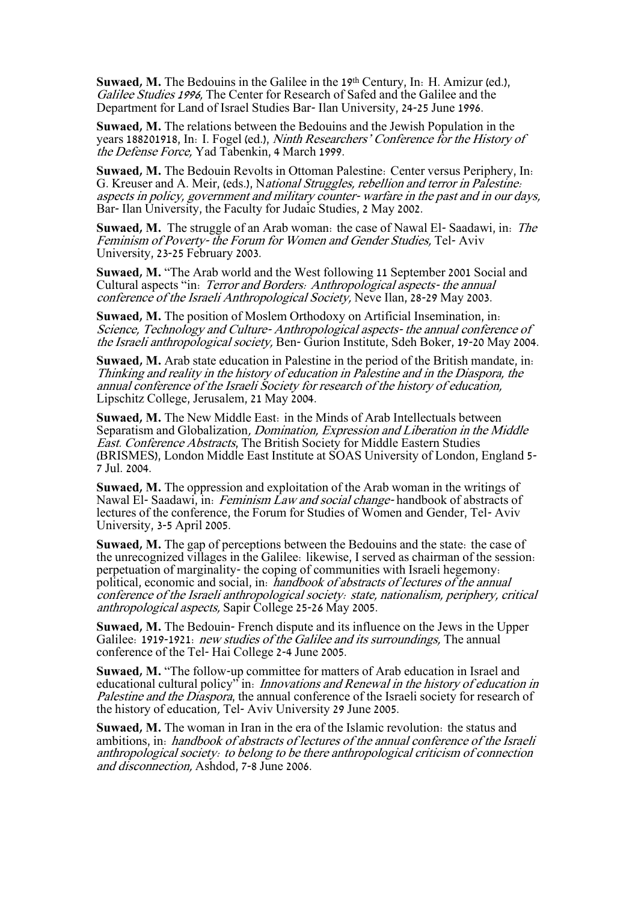**Suwaed, M.** The Bedouins in the Galilee in the 19th Century, In: H. Amizur (ed.), Galilee Studies 1996, The Center for Research of Safed and the Galilee and the Department for Land of Israel Studies Bar- Ilan University, 24-25 June 1996.

**Suwaed, M.** The relations between the Bedouins and the Jewish Population in the years 188201918, In: I. Fogel (ed.), Ninth Researchers' Conference for the History of the Defense Force, Yad Tabenkin, 4 March 1999.

**Suwaed, M.** The Bedouin Revolts in Ottoman Palestine: Center versus Periphery, In: G. Kreuser and A. Meir, (eds.), National Struggles, rebellion and terror in Palestine: aspects in policy, government and military counter- warfare in the past and in our days, Bar- Ilan University, the Faculty for Judaic Studies, 2 May 2002.

**Suwaed, M.** The struggle of an Arab woman: the case of Nawal El- Saadawi, in: The Feminism of Poverty- the Forum for Women and Gender Studies, Tel- Aviv University, 23-25 February 2003.

**Suwaed, M.** "The Arab world and the West following 11 September 2001 Social and Cultural aspects "in: Terror and Borders: Anthropological aspects- the annual conference of the Israeli Anthropological Society, Neve Ilan, 28-29 May 2003.

**Suwaed, M.** The position of Moslem Orthodoxy on Artificial Insemination, in: Science, Technology and Culture- Anthropological aspects- the annual conference of the Israeli anthropological society, Ben- Gurion Institute, Sdeh Boker, 19-20 May 2004.

**Suwaed, M.** Arab state education in Palestine in the period of the British mandate, in: Thinking and reality in the history of education in Palestine and in the Diaspora, the annual conference of the Israeli Society for research of the history of education, Lipschitz College, Jerusalem, 21 May 2004.

**Suwaed, M.** The New Middle East: in the Minds of Arab Intellectuals between Separatism and Globalization, Domination, Expression and Liberation in the Middle East. Conference Abstracts, The British Society for Middle Eastern Studies (BRISMES), London Middle East Institute at SOAS University of London, England 5- 7 Jul. 2004.

**Suwaed, M.** The oppression and exploitation of the Arab woman in the writings of Nawal El- Saadawi, in: Feminism Law and social change-handbook of abstracts of lectures of the conference, the Forum for Studies of Women and Gender, Tel- Aviv University, 3-5 April 2005.

**Suwaed, M.** The gap of perceptions between the Bedouins and the state: the case of the unrecognized villages in the Galilee: likewise, I served as chairman of the session: perpetuation of marginality- the coping of communities with Israeli hegemony: political, economic and social, in: handbook of abstracts of lectures of the annual conference of the Israeli anthropological society: state, nationalism, periphery, critical anthropological aspects, Sapir College 25-26 May 2005.

**Suwaed, M.** The Bedouin- French dispute and its influence on the Jews in the Upper Galilee: 1919-1921: *new studies of the Galilee and its surroundings*. The annual conference of the Tel- Hai College 2-4 June 2005.

**Suwaed, M.** "The follow-up committee for matters of Arab education in Israel and educational cultural policy<sup>5</sup> in: *Innovations and Renewal in the history of education in* Palestine and the Diaspora, the annual conference of the Israeli society for research of the history of education, Tel- Aviv University 29 June 2005.

**Suwaed, M.** The woman in Iran in the era of the Islamic revolution: the status and ambitions, in: handbook of abstracts of lectures of the annual conference of the Israeli anthropological society: to belong to be there anthropological criticism of connection and disconnection, Ashdod, 7-8 June 2006.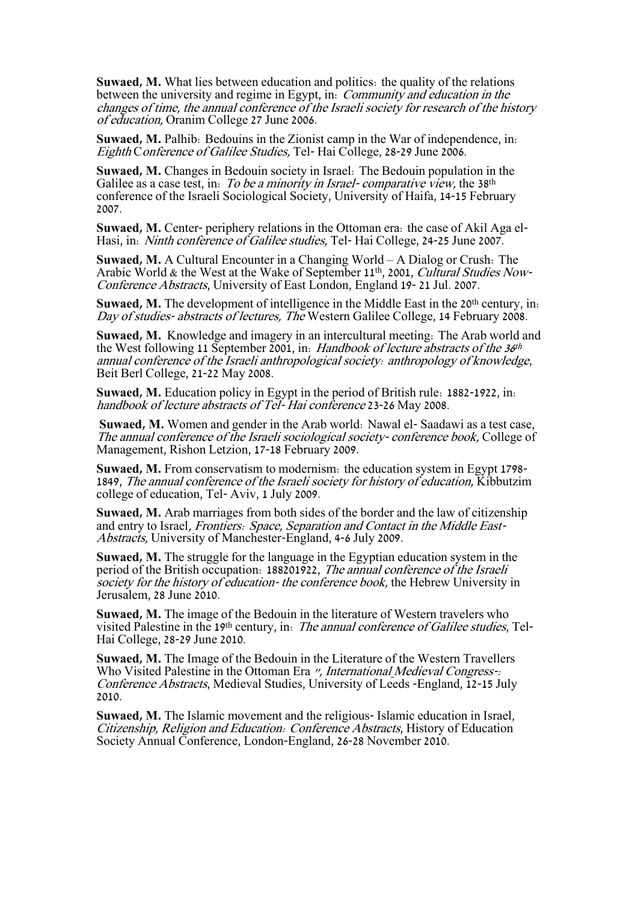**Suwaed, M.** What lies between education and politics: the quality of the relations between the university and regime in Egypt, in: Community and education in the changes of time, the annual conference of the Israeli society for research of the history of education, Oranim College 27 June 2006.

**Suwaed, M.** Palhib: Bedouins in the Zionist camp in the War of independence, in: Eighth Conference of Galilee Studies, Tel- Hai College, 28-29 June 2006.

**Suwaed, M.** Changes in Bedouin society in Israel: The Bedouin population in the Galilee as a case test, in: To be a minority in Israel-comparative view, the 38<sup>th</sup> conference of the Israeli Sociological Society, University of Haifa, 14-15 February 2007.

**Suwaed, M.** Center- periphery relations in the Ottoman era: the case of Akil Aga el-Hasi, in: Ninth conference of Galilee studies, Tel- Hai College, 24-25 June 2007.

**Suwaed, M.** A Cultural Encounter in a Changing World – A Dialog or Crush: The Arabic World & the West at the Wake of September 11<sup>th</sup>, 2001, *Cultural Studies Now-*Conference Abstracts, University of East London, England 19- 21 Jul. 2007.

**Suwaed, M.** The development of intelligence in the Middle East in the 20<sup>th</sup> century, in: Day of studies- abstracts of lectures, The Western Galilee College, 14 February 2008.

**Suwaed, M.** Knowledge and imagery in an intercultural meeting: The Arab world and the West following 11 September 2001, in: Handbook of lecture abstracts of the 36<sup>th</sup> annual conference of the Israeli anthropological society: anthropology of knowledge, Beit Berl College, 21-22 May 2008.

**Suwaed, M.** Education policy in Egypt in the period of British rule: 1882-1922, in: handbook of lecture abstracts of Tel- Hai conference 23-26 May 2008.

**Suwaed, M.** Women and gender in the Arab world: Nawal el- Saadawi as a test case, The annual conference of the Israeli sociological society- conference book, College of Management, Rishon Letzion, 17-18 February 2009.

**Suwaed, M.** From conservatism to modernism: the education system in Egypt 1798- 1849, The annual conference of the Israeli society for history of education, Kibbutzim college of education, Tel- Aviv, 1 July 2009.

**Suwaed, M.** Arab marriages from both sides of the border and the law of citizenship and entry to Israel, Frontiers: Space, Separation and Contact in the Middle East-Abstracts, University of Manchester-England, 4-6 July 2009.

**Suwaed, M.** The struggle for the language in the Egyptian education system in the period of the British occupation: 188201922, The annual conference of the Israeli society for the history of education- the conference book, the Hebrew University in Jerusalem, 28 June 2010.

**Suwaed, M.** The image of the Bedouin in the literature of Western travelers who visited Palestine in the 19th century, in: The annual conference of Galilee studies, Tel-Hai College, 28-29 June 2010.

**Suwaed, M.** The Image of the Bedouin in the Literature of the Western Travellers Who Visited Palestine in the Ottoman Era ", International Medieval Congress-: Conference Abstracts, Medieval Studies, University of Leeds -England, 12-15 July 2010.

**Suwaed, M.** The Islamic movement and the religious- Islamic education in Israel, Citizenship, Religion and Education: Conference Abstracts, History of Education Society Annual Conference, London-England, 26-28 November 2010.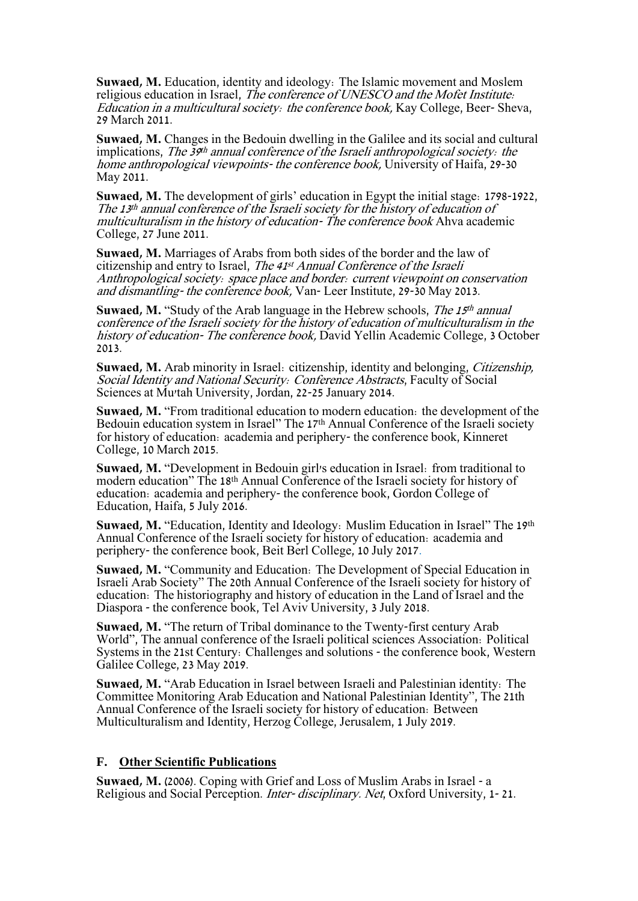**Suwaed, M.** Education, identity and ideology: The Islamic movement and Moslem religious education in Israel, *The conference of UNESCO and the Mofet Institute*: Education in a multicultural society: the conference book, Kay College, Beer- Sheva, 29 March 2011.

**Suwaed, M.** Changes in the Bedouin dwelling in the Galilee and its social and cultural implications, The 39<sup>th</sup> annual conference of the Israeli anthropological society: the home anthropological viewpoints- the conference book, University of Haifa, 29-30 May 2011.

**Suwaed, M.** The development of girls' education in Egypt the initial stage: 1798-1922, The 13 th annual conference of the Israeli society for the history of education of multiculturalism in the history of education- The conference book Ahva academic College, 27 June 2011.

**Suwaed, M.** Marriages of Arabs from both sides of the border and the law of citizenship and entry to Israel, The 41<sup>st</sup> Annual Conference of the Israeli Anthropological society: space place and border: current viewpoint on conservation and dismantling- the conference book, Van- Leer Institute, 29-30 May 2013.

**Suwaed, M.** "Study of the Arab language in the Hebrew schools, The 15<sup>th</sup> annual conference of the Israeli society for the history of education of multiculturalism in the history of education- The conference book, David Yellin Academic College, 3 October 2013.

**Suwaed, M.** Arab minority in Israel: citizenship, identity and belonging, Citizenship, Social Identity and National Security: Conference Abstracts, Faculty of Social Sciences at Mu'tah University, Jordan, 22-25 January 2014.

**Suwaed, M.** "From traditional education to modern education: the development of the Bedouin education system in Israel" The 17<sup>th</sup> Annual Conference of the Israeli society for history of education: academia and periphery- the conference book, Kinneret College, 10 March 2015.

**Suwaed, M.** "Development in Bedouin girl's education in Israel: from traditional to modern education" The 18th Annual Conference of the Israeli society for history of education: academia and periphery- the conference book, Gordon College of Education, Haifa, 5 July 2016.

**Suwaed, M.** "Education, Identity and Ideology: Muslim Education in Israel" The 19th Annual Conference of the Israeli society for history of education: academia and periphery- the conference book, Beit Berl College, 10 July 2017.

**Suwaed, M.** "Community and Education: The Development of Special Education in Israeli Arab Society" The 20th Annual Conference of the Israeli society for history of education: The historiography and history of education in the Land of Israel and the Diaspora - the conference book, Tel Aviv University, 3 July 2018.

**Suwaed, M.** "The return of Tribal dominance to the Twenty-first century Arab World", The annual conference of the Israeli political sciences Association: Political Systems in the 21st Century: Challenges and solutions - the conference book, Western Galilee College, 23 May 2019.

**Suwaed, M.** "Arab Education in Israel between Israeli and Palestinian identity: The Committee Monitoring Arab Education and National Palestinian Identity", The 21th Annual Conference of the Israeli society for history of education: Between Multiculturalism and Identity, Herzog College, Jerusalem, 1 July 2019.

#### **F. Other Scientific Publications**

**Suwaed, M.** (2006). Coping with Grief and Loss of Muslim Arabs in Israel - a Religious and Social Perception. Inter- disciplinary. Net, Oxford University, 1- 21.